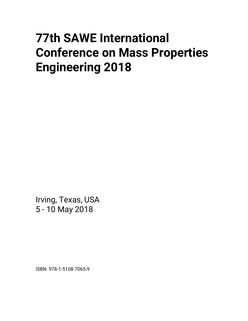## **77th SAWE International Conference on Mass Properties Engineering 2018**

Irving, Texas, USA 5 - 10 May 2018

ISBN: 978-1-5108-7065-9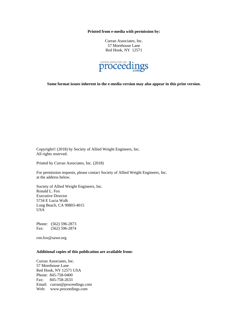**Printed from e-media with permission by:** 

Curran Associates, Inc. 57 Morehouse Lane Red Hook, NY 12571



**Some format issues inherent in the e-media version may also appear in this print version.** 

Copyright© (2018) by Society of Allied Weight Engineers, Inc. All rights reserved.

Printed by Curran Associates, Inc. (2018)

For permission requests, please contact Society of Allied Weight Engineers, Inc. at the address below.

Society of Allied Weight Engineers, Inc. Ronald L. Fox Executive Director 5734 E Lucia Walk Long Beach, CA 90803-4015 USA

Phone: (562) 596-2873 Fax: (562) 596-2874

ron.fox@sawe.org

## **Additional copies of this publication are available from:**

Curran Associates, Inc. 57 Morehouse Lane Red Hook, NY 12571 USA Phone: 845-758-0400 Fax: 845-758-2633 Email: curran@proceedings.com Web: www.proceedings.com